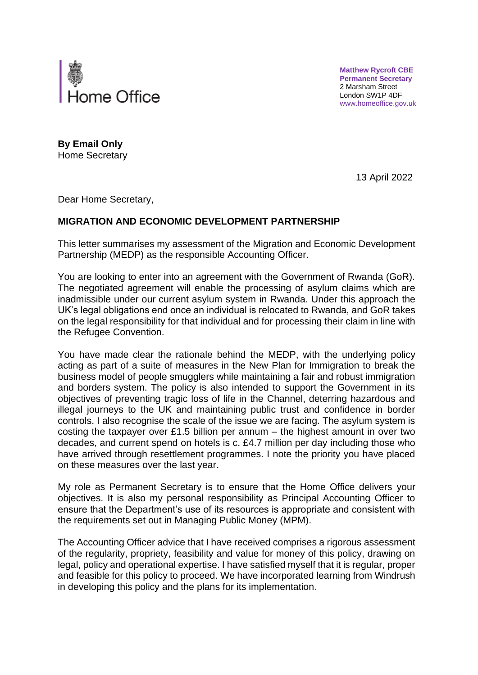

**Matthew Rycroft CBE Permanent Secretary** 2 Marsham Street London SW1P 4DF www.homeoffice.gov.uk

**By Email Only** Home Secretary

13 April 2022

Dear Home Secretary,

## **MIGRATION AND ECONOMIC DEVELOPMENT PARTNERSHIP**

This letter summarises my assessment of the Migration and Economic Development Partnership (MEDP) as the responsible Accounting Officer.

You are looking to enter into an agreement with the Government of Rwanda (GoR). The negotiated agreement will enable the processing of asylum claims which are inadmissible under our current asylum system in Rwanda. Under this approach the UK's legal obligations end once an individual is relocated to Rwanda, and GoR takes on the legal responsibility for that individual and for processing their claim in line with the Refugee Convention.

You have made clear the rationale behind the MEDP, with the underlying policy acting as part of a suite of measures in the New Plan for Immigration to break the business model of people smugglers while maintaining a fair and robust immigration and borders system. The policy is also intended to support the Government in its objectives of preventing tragic loss of life in the Channel, deterring hazardous and illegal journeys to the UK and maintaining public trust and confidence in border controls. I also recognise the scale of the issue we are facing. The asylum system is costing the taxpayer over £1.5 billion per annum  $-$  the highest amount in over two decades, and current spend on hotels is c. £4.7 million per day including those who have arrived through resettlement programmes. I note the priority you have placed on these measures over the last year.

My role as Permanent Secretary is to ensure that the Home Office delivers your objectives. It is also my personal responsibility as Principal Accounting Officer to ensure that the Department's use of its resources is appropriate and consistent with the requirements set out in Managing Public Money (MPM).

The Accounting Officer advice that I have received comprises a rigorous assessment of the regularity, propriety, feasibility and value for money of this policy, drawing on legal, policy and operational expertise. I have satisfied myself that it is regular, proper and feasible for this policy to proceed. We have incorporated learning from Windrush in developing this policy and the plans for its implementation.